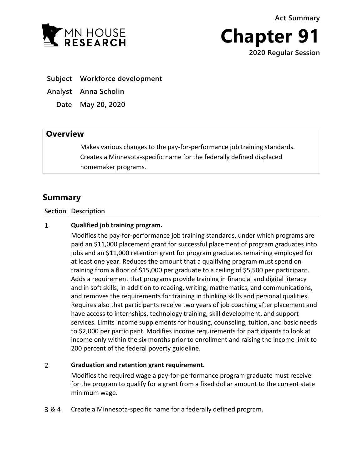**Act Summary**



**Chapter 91 2020 Regular Session**

**Subject Workforce development**

**Analyst Anna Scholin**

**Date May 20, 2020**

## **Overview**

Makes various changes to the pay-for-performance job training standards. Creates a Minnesota-specific name for the federally defined displaced homemaker programs.

## **Summary**

**Section Description**

## $\mathbf{1}$ **Qualified job training program.**

Modifies the pay-for-performance job training standards, under which programs are paid an \$11,000 placement grant for successful placement of program graduates into jobs and an \$11,000 retention grant for program graduates remaining employed for at least one year. Reduces the amount that a qualifying program must spend on training from a floor of \$15,000 per graduate to a ceiling of \$5,500 per participant. Adds a requirement that programs provide training in financial and digital literacy and in soft skills, in addition to reading, writing, mathematics, and communications, and removes the requirements for training in thinking skills and personal qualities. Requires also that participants receive two years of job coaching after placement and have access to internships, technology training, skill development, and support services. Limits income supplements for housing, counseling, tuition, and basic needs to \$2,000 per participant. Modifies income requirements for participants to look at income only within the six months prior to enrollment and raising the income limit to 200 percent of the federal poverty guideline.

## $\overline{2}$ **Graduation and retention grant requirement.**

Modifies the required wage a pay-for-performance program graduate must receive for the program to qualify for a grant from a fixed dollar amount to the current state minimum wage.

& 4 Create a Minnesota-specific name for a federally defined program.